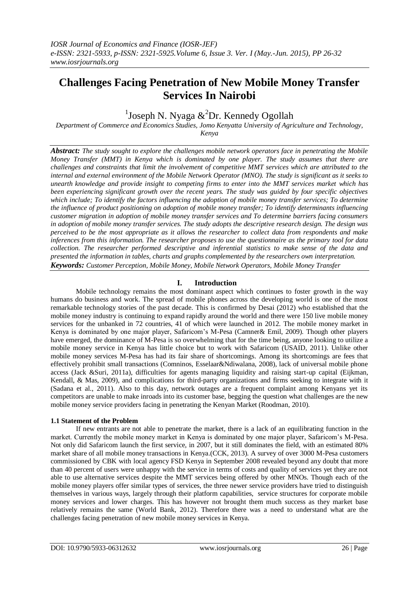# **Challenges Facing Penetration of New Mobile Money Transfer Services In Nairobi**

<sup>1</sup>Joseph N. Nyaga  $\&^2$ Dr. Kennedy Ogollah

*Department of Commerce and Economics Studies, Jomo Kenyatta University of Agriculture and Technology, Kenya*

*Abstract: The study sought to explore the challenges mobile network operators face in penetrating the Mobile Money Transfer (MMT) in Kenya which is dominated by one player. The study assumes that there are challenges and constraints that limit the involvement of competitive MMT services which are attributed to the internal and external environment of the Mobile Network Operator (MNO). The study is significant as it seeks to unearth knowledge and provide insight to competing firms to enter into the MMT services market which has been experiencing significant growth over the recent years. The study was guided by four specific objectives which include; To identify the factors influencing the adoption of mobile money transfer services; To determine the influence of product positioning on adoption of mobile money transfer; To identify determinants influencing customer migration in adoption of mobile money transfer services and To determine barriers facing consumers in adoption of mobile money transfer services. The study adopts the descriptive research design. The design was perceived to be the most appropriate as it allows the researcher to collect data from respondents and make inferences from this information. The researcher proposes to use the questionnaire as the primary tool for data collection. The researcher performed descriptive and inferential statistics to make sense of the data and presented the information in tables, charts and graphs complemented by the researchers own interpretation. Keywords: Customer Perception, Mobile Money, Mobile Network Operators, Mobile Money Transfer*

# **I. Introduction**

Mobile technology remains the most dominant aspect which continues to foster growth in the way humans do business and work. The spread of mobile phones across the developing world is one of the most remarkable technology stories of the past decade. This is confirmed by Desai (2012) who established that the mobile money industry is continuing to expand rapidly around the world and there were 150 live mobile money services for the unbanked in 72 countries, 41 of which were launched in 2012. The mobile money market in Kenya is dominated by one major player, Safaricom's M-Pesa (Camner& Emil, 2009). Though other players have emerged, the dominance of M-Pesa is so overwhelming that for the time being, anyone looking to utilize a mobile money service in Kenya has little choice but to work with Safaricom (USAID, 2011). Unlike other mobile money services M-Pesa has had its fair share of shortcomings. Among its shortcomings are fees that effectively prohibit small transactions (Comninos, Esselaar&Ndiwalana, 2008), lack of universal mobile phone access (Jack &Suri, 2011a), difficulties for agents managing liquidity and raising start-up capital (Eijkman, Kendall, & Mas, 2009), and complications for third-party organizations and firms seeking to integrate with it (Sadana et al., 2011). Also to this day, network outages are a frequent complaint among Kenyans yet its competitors are unable to make inroads into its customer base, begging the question what challenges are the new mobile money service providers facing in penetrating the Kenyan Market (Roodman, 2010).

# **1.1 Statement of the Problem**

If new entrants are not able to penetrate the market, there is a lack of an equilibrating function in the market. Currently the mobile money market in Kenya is dominated by one major player, Safaricom's M-Pesa. Not only did Safaricom launch the first service, in 2007, but it still dominates the field, with an estimated 80% market share of all mobile money transactions in Kenya.(CCK, 2013). A survey of over 3000 M-Pesa customers commissioned by CBK with local agency FSD Kenya in September 2008 revealed beyond any doubt that more than 40 percent of users were unhappy with the service in terms of costs and quality of services yet they are not able to use alternative services despite the MMT services being offered by other MNOs. Though each of the mobile money players offer similar types of services, the three newer service providers have tried to distinguish themselves in various ways, largely through their platform capabilities, service structures for corporate mobile money services and lower charges. This has however not brought them much success as they market base relatively remains the same (World Bank, 2012). Therefore there was a need to understand what are the challenges facing penetration of new mobile money services in Kenya.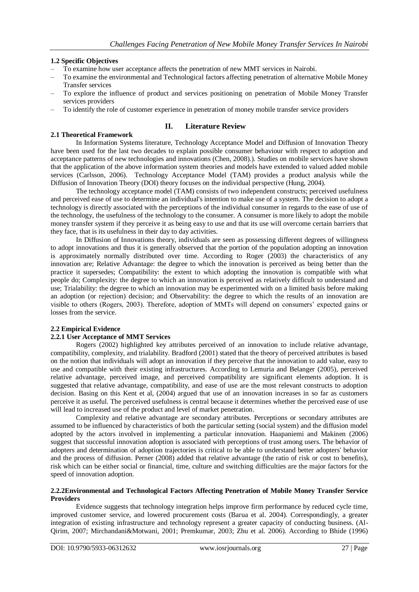## **1.2 Specific Objectives**

**2.1 Theoretical Framework**

- To examine how user acceptance affects the penetration of new MMT services in Nairobi.
- To examine the environmental and Technological factors affecting penetration of alternative Mobile Money Transfer services
- To explore the influence of product and services positioning on penetration of Mobile Money Transfer services providers
- To identify the role of customer experience in penetration of money mobile transfer service providers

## **II. Literature Review**

In Information Systems literature, Technology Acceptance Model and Diffusion of Innovation Theory have been used for the last two decades to explain possible consumer behaviour with respect to adoption and acceptance patterns of new technologies and innovations (Chen, 2008).). Studies on mobile services have shown that the application of the above information system theories and models have extended to valued added mobile services (Carlsson, 2006). Technology Acceptance Model (TAM) provides a product analysis while the Diffusion of Innovation Theory (DOI) theory focuses on the individual perspective (Hung, 2004).

The technology acceptance model (TAM) consists of two independent constructs; perceived usefulness and perceived ease of use to determine an individual's intention to make use of a system. The decision to adopt a technology is directly associated with the perceptions of the individual consumer in regards to the ease of use of the technology, the usefulness of the technology to the consumer. A consumer is more likely to adopt the mobile money transfer system if they perceive it as being easy to use and that its use will overcome certain barriers that they face, that is its usefulness in their day to day activities.

In Diffusion of Innovations theory, individuals are seen as possessing different degrees of willingness to adopt innovations and thus it is generally observed that the portion of the population adopting an innovation is approximately normally distributed over time. According to Roger (2003) the characteristics of any innovation are; Relative Advantage: the degree to which the innovation is perceived as being better than the practice it supersedes; Compatibility: the extent to which adopting the innovation is compatible with what people do; Complexity: the degree to which an innovation is perceived as relatively difficult to understand and use; Trialability: the degree to which an innovation may be experimented with on a limited basis before making an adoption (or rejection) decision; and Observability: the degree to which the results of an innovation are visible to others (Rogers, 2003). Therefore, adoption of MMTs will depend on consumers' expected gains or losses from the service.

#### **2.2 Empirical Evidence**

#### **2.2.1 User Acceptance of MMT Services**

Rogers (2002) highlighted key attributes perceived of an innovation to include relative advantage, compatibility, complexity, and trialability. Bradford (2001) stated that the theory of perceived attributes is based on the notion that individuals will adopt an innovation if they perceive that the innovation to add value, easy to use and compatible with their existing infrastructures. According to Lemuria and Belanger (2005), perceived relative advantage, perceived image, and perceived compatibility are significant elements adoption. It is suggested that relative advantage, compatibility, and ease of use are the most relevant constructs to adoption decision. Basing on this Kent et al, (2004) argued that use of an innovation increases in so far as customers perceive it as useful. The perceived usefulness is central because it determines whether the perceived ease of use will lead to increased use of the product and level of market penetration.

Complexity and relative advantage are secondary attributes. Perceptions or secondary attributes are assumed to be influenced by characteristics of both the particular setting (social system) and the diffusion model adopted by the actors involved in implementing a particular innovation. Haapaniemi and Makinen (2006) suggest that successful innovation adoption is associated with perceptions of trust among users. The behavior of adopters and determination of adoption trajectories is critical to be able to understand better adopters' behavior and the process of diffusion. Perner (2008) added that relative advantage (the ratio of risk or cost to benefits), risk which can be either social or financial, time, culture and switching difficulties are the major factors for the speed of innovation adoption.

#### **2.2.2Environmental and Technological Factors Affecting Penetration of Mobile Money Transfer Service Providers**

Evidence suggests that technology integration helps improve firm performance by reduced cycle time, improved customer service, and lowered procurement costs (Barua et al. 2004). Correspondingly, a greater integration of existing infrastructure and technology represent a greater capacity of conducting business. (Al-Qirim, 2007; Mirchandani&Motwani, 2001; Premkumar, 2003; Zhu et al. 2006). According to Bhide (1996)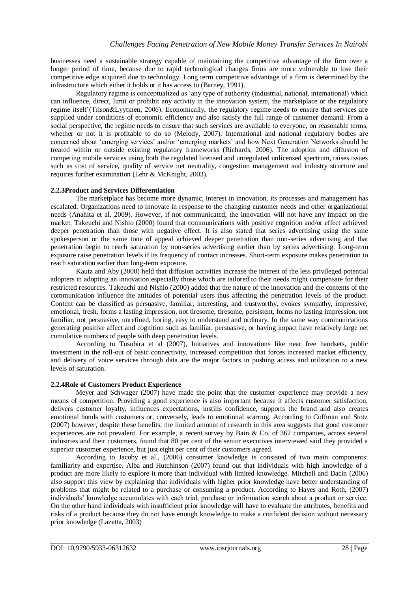businesses need a sustainable strategy capable of maintaining the competitive advantage of the firm over a longer period of time, because due to rapid technological changes firms are more vulnerable to lose their competitive edge acquired due to technology. Long term competitive advantage of a firm is determined by the infrastructure which either it holds or it has access to (Barney, 1991).

Regulatory regime is conceptualized as 'any type of authority (industrial, national, international) which can influence, direct, limit or prohibit any activity in the innovation system, the marketplace or the regulatory regime itself'(Tilson&Lyytinen, 2006). Economically, the regulatory regime needs to ensure that services are supplied under conditions of economic efficiency and also satisfy the full range of customer demand. From a social perspective, the regime needs to ensure that such services are available to everyone, on reasonable terms, whether or not it is profitable to do so (Melody, 2007). International and national regulatory bodies are concerned about 'emerging services' and/or 'emerging markets' and how Next Generation Networks should be treated within or outside existing regulatory frameworks (Richards, 2006). The adoption and diffusion of competing mobile services using both the regulated licensed and unregulated unlicensed spectrum, raises issues such as cost of service, quality of service net neutrality, congestion management and industry structure and requires further examination (Lehr & McKnight, 2003).

# **2.2.3Product and Services Differentiation**

The marketplace has become more dynamic, interest in innovation, its processes and management has escalated. Organizations need to innovate in response to the changing customer needs and other organizational needs (Anahita et al, 2009). However, if not communicated, the innovation will not have any impact on the market. Takeuchi and Nishio (2000) found that communications with positive cognition and/or effect achieved deeper penetration than those with negative effect. It is also stated that series advertising using the same spokesperson or the same tone of appeal achieved deeper penetration than non-series advertising and that penetration begin to reach saturation by non-series advertising earlier than by series advertising. Long-term exposure raise penetration levels if its frequency of contact increases. Short-term exposure makes penetration to reach saturation earlier than long-term exposure.

Kautz and Aby (2000) held that diffusion activities increase the interest of the less privileged potential adopters in adopting an innovation especially those which are tailored to their needs might compensate for their restricted resources. Takeuchi and Nishio (2000) added that the nature of the innovation and the contents of the communication influence the attitudes of potential users thus affecting the penetration levels of the product. Content can be classified as persuasive, familiar, interesting, and trustworthy, evokes sympathy, impressive, emotional, fresh, forms a lasting impression, not tiresome, tiresome, persistent, forms no lasting impression, not familiar, not persuasive, unrefined, boring, easy to understand and ordinary. In the same way communications generating positive affect and cognition such as familiar, persuasive, or having impact have relatively large net cumulative numbers of people with deep penetration levels.

According to Tusubira et al (2007), Initiatives and innovations like near free handsets, public investment in the roll-out of basic connectivity, increased competition that forces increased market efficiency, and delivery of voice services through data are the major factors in pushing access and utilization to a new levels of saturation.

#### **2.2.4Role of Customers Product Experience**

Meyer and Schwager (2007) have made the point that the customer experience may provide a new means of competition. Providing a good experience is also important because it affects customer satisfaction, delivers customer loyalty, influences expectations, instills confidence, supports the brand and also creates emotional bonds with customers or, conversely, leads to emotional scarring. According to Coffman and Stotz (2007) however, despite these benefits, the limited amount of research in this area suggests that good customer experiences are not prevalent. For example, a recent survey by Bain & Co. of 362 companies, across several industries and their customers, found that 80 per cent of the senior executives interviewed said they provided a superior customer experience, but just eight per cent of their customers agreed.

According to Jacoby et al., (2006) consumer knowledge is consisted of two main components: familiarity and expertise. Alba and Hutchinson (2007) found out that individuals with high knowledge of a product are more likely to explore it more than individual with limited knowledge. Mitchell and Dacin (2006) also support this view by explaining that individuals with higher prior knowledge have better understanding of problems that might be related to a purchase or consuming a product. According to Hayes and Roth, (2007) individuals' knowledge accumulates with each trial, purchase or information search about a product or service. On the other hand individuals with insufficient prior knowledge will have to evaluate the attributes, benefits and risks of a product because they do not have enough knowledge to make a confident decision without necessary prior knowledge (Lazetta, 2003)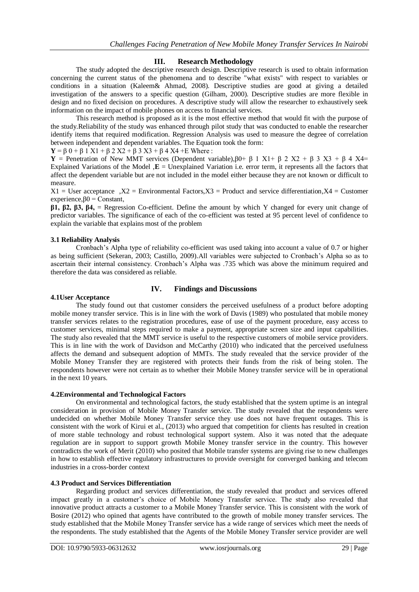# **III. Research Methodology**

The study adopted the descriptive research design. Descriptive research is used to obtain information concerning the current status of the phenomena and to describe "what exists" with respect to variables or conditions in a situation (Kaleem& Ahmad, 2008). Descriptive studies are good at giving a detailed investigation of the answers to a specific question (Gilham, 2000). Descriptive studies are more flexible in design and no fixed decision on procedures. A descriptive study will allow the researcher to exhaustively seek information on the impact of mobile phones on access to financial services.

This research method is proposed as it is the most effective method that would fit with the purpose of the study.Reliability of the study was enhanced through pilot study that was conducted to enable the researcher identify items that required modification. Regression Analysis was used to measure the degree of correlation between independent and dependent variables. The Equation took the form:

**Y** = β 0 + β 1 X1 + β 2 X2 + β 3 X3 + β 4 X4 + E Where :

**Y** = Penetration of New MMT services (Dependent variable),  $β0+β$  1 X1+  $β$  2 X2 +  $β$  3 X3 +  $β$  4 X4= Explained Variations of the Model **, E** = Unexplained Variation i.e. error term, it represents all the factors that affect the dependent variable but are not included in the model either because they are not known or difficult to measure.

 $X1 =$  User acceptance , $X2 =$  Environmental Factors,  $X3 =$  Product and service differentiation,  $X4 =$  Customer experience, $60 =$ Constant,

**β1, β2, β3, β4,** = Regression Co-efficient. Define the amount by which Y changed for every unit change of predictor variables. The significance of each of the co-efficient was tested at 95 percent level of confidence to explain the variable that explains most of the problem

### **3.1 Reliability Analysis**

Cronbach's Alpha type of reliability co-efficient was used taking into account a value of 0.7 or higher as being sufficient (Sekeran, 2003; Castillo, 2009).All variables were subjected to Cronbach's Alpha so as to ascertain their internal consistency. Cronbach's Alpha was .735 which was above the minimum required and therefore the data was considered as reliable.

#### **4.1User Acceptance**

# **IV. Findings and Discussions**

The study found out that customer considers the perceived usefulness of a product before adopting mobile money transfer service. This is in line with the work of Davis (1989) who postulated that mobile money transfer services relates to the registration procedures, ease of use of the payment procedure, easy access to customer services, minimal steps required to make a payment, appropriate screen size and input capabilities. The study also revealed that the MMT service is useful to the respective customers of mobile service providers. This is in line with the work of Davidson and McCarthy (2010) who indicated that the perceived usefulness affects the demand and subsequent adoption of MMTs. The study revealed that the service provider of the Mobile Money Transfer they are registered with protects their funds from the risk of being stolen. The respondents however were not certain as to whether their Mobile Money transfer service will be in operational in the next 10 years.

#### **4.2Environmental and Technological Factors**

On environmental and technological factors, the study established that the system uptime is an integral consideration in provision of Mobile Money Transfer service. The study revealed that the respondents were undecided on whether Mobile Money Transfer service they use does not have frequent outages. This is consistent with the work of Kirui et al., (2013) who argued that competition for clients has resulted in creation of more stable technology and robust technological support system. Also it was noted that the adequate regulation are in support to support growth Mobile Money transfer service in the country. This however contradicts the work of Merit (2010) who posited that Mobile transfer systems are giving rise to new challenges in how to establish effective regulatory infrastructures to provide oversight for converged banking and telecom industries in a cross-border context

#### **4.3 Product and Services Differentiation**

Regarding product and services differentiation, the study revealed that product and services offered impact greatly in a customer's choice of Mobile Money Transfer service. The study also revealed that innovative product attracts a customer to a Mobile Money Transfer service. This is consistent with the work of Bosire (2012) who opined that agents have contributed to the growth of mobile money transfer services. The study established that the Mobile Money Transfer service has a wide range of services which meet the needs of the respondents. The study established that the Agents of the Mobile Money Transfer service provider are well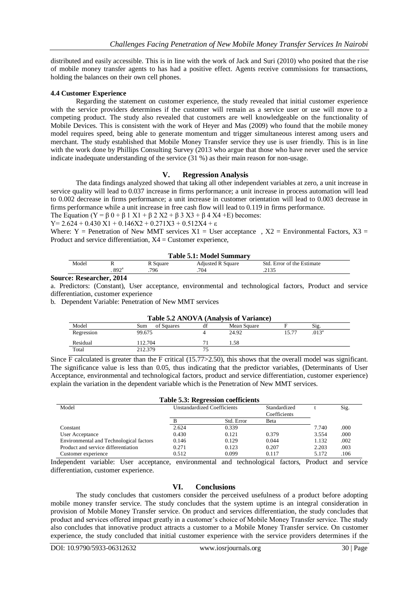distributed and easily accessible. This is in line with the work of Jack and Suri (2010) who posited that the rise of mobile money transfer agents to has had a positive effect. Agents receive commissions for transactions, holding the balances on their own cell phones.

### **4.4 Customer Experience**

Regarding the statement on customer experience, the study revealed that initial customer experience with the service providers determines if the customer will remain as a service user or use will move to a competing product. The study also revealed that customers are well knowledgeable on the functionality of Mobile Devices. This is consistent with the work of Heyer and Mas (2009) who found that the mobile money model requires speed, being able to generate momentum and trigger simultaneous interest among users and merchant. The study established that Mobile Money Transfer service they use is user friendly. This is in line with the work done by Phillips Consulting Survey (2013 who argue that those who have never used the service indicate inadequate understanding of the service (31 %) as their main reason for non-usage.

### **V. Regression Analysis**

The data findings analyzed showed that taking all other independent variables at zero, a unit increase in service quality will lead to 0.037 increase in firms performance; a unit increase in process automation will lead to 0.002 decrease in firms performance; a unit increase in customer orientation will lead to 0.003 decrease in firms performance while a unit increase in free cash flow will lead to 0.119 in firms performance.

The Equation (Y =  $\beta$  0 +  $\beta$  1 X1 +  $\beta$  2 X2 +  $\beta$  3 X3 +  $\beta$  4 X4 + E) becomes:

$$
Y=2.624+0.430 X1+0.146X2+0.271X3+0.512X4+\epsilon
$$

Where: Y = Penetration of New MMT services  $X1$  = User acceptance,  $X2$  = Environmental Factors,  $X3$  = Product and service differentiation,  $X4 =$ Customer experience,

| <b>Table 5.1: Model Summary</b> |                  |          |                          |                            |  |  |  |  |  |
|---------------------------------|------------------|----------|--------------------------|----------------------------|--|--|--|--|--|
| Model                           |                  | R Square | <b>Adjusted R Square</b> | Std. Error of the Estimate |  |  |  |  |  |
|                                 | 892 <sup>a</sup> | 796      | 704                      |                            |  |  |  |  |  |

#### **Source: Researcher, 2014**

a. Predictors: (Constant), User acceptance, environmental and technological factors, Product and service differentiation, customer experience

b. Dependent Variable: Penetration of New MMT services

| Table 5.2 ANOVA (Analysis of Variance) |                   |    |             |       |                   |  |  |  |  |
|----------------------------------------|-------------------|----|-------------|-------|-------------------|--|--|--|--|
| Model                                  | Sum<br>of Squares |    | Mean Square |       | Sig.              |  |  |  |  |
| Regression                             | 99.675            |    | 24.92       | 15.77 | .013 <sup>a</sup> |  |  |  |  |
| Residual                               | 112.704           |    | 1.58        |       |                   |  |  |  |  |
| Total                                  | 212.379           | 75 |             |       |                   |  |  |  |  |

#### Since  $\overline{F}$  calculated is greater than the F critical (15.77>2.50), this shows that the overall model was significant. The significance value is less than 0.05, thus indicating that the predictor variables, (Determinants of User Acceptance, environmental and technological factors, product and service differentiation, customer experience) explain the variation in the dependent variable which is the Penetration of New MMT services.

| Table 5.3: Regression coefficients      |                                    |            |                              |       |      |  |  |  |  |  |  |
|-----------------------------------------|------------------------------------|------------|------------------------------|-------|------|--|--|--|--|--|--|
| Model                                   | <b>Unstandardized Coefficients</b> |            | Standardized<br>Coefficients |       | Sig. |  |  |  |  |  |  |
|                                         | B                                  | Std. Error | <b>B</b> eta                 |       |      |  |  |  |  |  |  |
| Constant                                | 2.624                              | 0.339      |                              | 7.740 | .000 |  |  |  |  |  |  |
| User Acceptance                         | 0.430                              | 0.121      | 0.379                        | 3.554 | .000 |  |  |  |  |  |  |
| Environmental and Technological factors | 0.146                              | 0.129      | 0.044                        | 1.132 | .002 |  |  |  |  |  |  |
| Product and service differentiation     | 0.271                              | 0.123      | 0.207                        | 2.203 | .003 |  |  |  |  |  |  |
| Customer experience                     | 0.512                              | 0.099      | 0.117                        | 5.172 | .106 |  |  |  |  |  |  |

Independent variable: User acceptance, environmental and technological factors, Product and service differentiation, customer experience.

# **VI. Conclusions**

The study concludes that customers consider the perceived usefulness of a product before adopting mobile money transfer service. The study concludes that the system uptime is an integral consideration in provision of Mobile Money Transfer service. On product and services differentiation, the study concludes that product and services offered impact greatly in a customer's choice of Mobile Money Transfer service. The study also concludes that innovative product attracts a customer to a Mobile Money Transfer service. On customer experience, the study concluded that initial customer experience with the service providers determines if the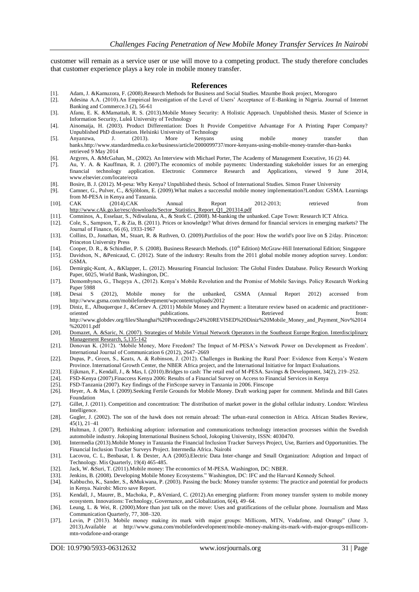customer will remain as a service user or use will move to a competing product. The study therefore concludes that customer experience plays a key role in mobile money transfer.

#### **References**

- [1]. Adam, J. &Kamuzora, F. (2008).Research Methods for Business and Social Studies. Mzumbe Book project, Morogoro
- [2]. Adesina A.A. (2010).An Empirical Investigation of the Level of Users' Acceptance of E-Banking in Nigeria. Journal of Internet Banking and Commerce.3 (2), 56-61
- [3]. Afanu, E. K. &Mamattah, R. S. (2013).Mobile Money Security: A Holistic Approach. Unpublished thesis. Master of Science in Information Security, Luleå University of Technology
- [4]. Ainomaija, H. (2003). Product Differentiation: Does It Provide Competitive Advantage For A Printing Paper Company? Unpublished PhD dissertation. Helsinki University of Technology
- [5]. Anyanzwa, J. (2013). More Kenyans using mobile money transfer than banks.http://www.standardmedia.co.ke/business/article/2000099737/more-kenyans-using-mobile-money-transfer-than-banks retrieved 9 May 2014
- [6]. Argyres, A. &McGahan, M., (2002). An Interview with Michael Porter, The Academy of Management Executive, 16 (2) 44.
- [7]. Au, Y. A. & Kauffman, R. J. (2007).The economics of mobile payments: Understanding stakeholder issues for an emerging financial technology application. Electronic Commerce Research and Applications, viewed 9 June 2014, www.elsevier.com/locate/ecra
- [8]. Bosire, B. J. (2012). M-pesa: Why Kenya? Unpublished thesis. School of International Studies. Simon Fraser University
- [9]. Camner, G., Pulver, C., &Sjöblom, E. (2009).What makes a successful mobile money implementation?London: GSMA. Learnings from M-PESA in Kenya and Tanzania.
- [10]. CAK (2014).CAK Annual Report 2012-2013; retrieved from [http://www.cAk.go.ke/resc/downloads/Sector\\_Statistics\\_Report\\_Q1\\_201314.pdf](http://www.cak.go.ke/resc/downloads/Sector_Statistics_Report_Q1_201314.pdf)
- [11]. Comninos, A., Esselaar, S., Ndiwalana, A., & Stork C. (2008). M-banking the unbanked. Cape Town: Research ICT Africa.
- [12]. Cole, S., Sampson, T., & Zia, B. (2011). Prices or knowledge? What drives demand for financial services in emerging markets? The Journal of Finance, 66 (6), 1933-1967
- [13]. Collins, D., Jonathan, M., Stuart, R. & Ruthven, O. (2009).Portfolios of the poor: How the world's poor live on \$ 2/day. Princeton: Princeton University Press
- [14]. Cooper, D. R., & Schindler, P. S. (2008). Business Research Methods. (10<sup>th</sup> Edition) McGraw-Hill International Edition; Singapore
- [15]. Davidson, N., &Penicaud, C. (2012). State of the industry: Results from the 2011 global mobile money adoption survey. London: GSMA.
- [16]. Demirgüç-Kunt, A., &Klapper, L. (2012). Measuring Financial Inclusion: The Global Findex Database. Policy Research Working Paper, 6025, World Bank, Washington, DC.
- [17]. Demombynes, G., Thegeya A., (2012). Kenya's Mobile Revolution and the Promise of Mobile Savings. Policy Research Working Paper 5988
- [18]. Desai S (2012), Mobile money for the unbanked, GSMA (Annual Report 2012) accessed from http://www.gsma.com/mobilefordevepment/wpcontent/uploads/2012
- [19]. Diniz, E., Albuquerque J., &Cernev A. (2011) Mobile Money and Payment: a literature review based on academic and practitioneroriented publications. Retrieved from: http://www.globdev.org/files/Shanghai%20Proceedings/24%20REVISED%20Diniz%20Mobile\_Money\_and\_Payment\_Nov%2014 %202011.pdf
- [20]. Domazet, A. &Saric, N. (2007). Strategies of Mobile Virtual Network Operators in the Southeast Europe Region. Interdisciplinary Management Research, 5,135-142
- [21]. Donovan K. (2012). 'Mobile Money, More Freedom? The Impact of M-PESA's Network Power on Development as Freedom'. International Journal of Communication 6 (2012), 2647–2669
- [22]. Dupas, P., Green, S., Keats, A. & Robinson, J. (2012). Challenges in Banking the Rural Poor: Evidence from Kenya's Western Province. International Growth Center, the NBER Africa project, and the International Initiative for Impact Evaluations.
- [23]. Eijkman, F., Kendall, J., & Mas, I. (2010).Bridges to cash: The retail end of M-PESA. Savings & Development, 34(2), 219–252.
- [24]. FSD-Kenya (2007).Finaccess Kenya 2006: Results of a Financial Survey on Access to Financial Services in Kenya
- [25]. FSD-Tanzania (2007). Key findings of the FinScope survey in Tanzania in 2006. Finscope
- [26]. Heyer, A. & Mas, I. (2009).Seeking Fertile Grounds for Mobile Money. Draft working paper for comment. Melinda and Bill Gates Foundation
- [27]. Gillet, J. (2011). Competition and concentration: The distribution of market power in the global cellular industry. London: Wireless Intelligence.
- [28]. Gugler, J. (2002). The son of the hawk does not remain abroad: The urban-rural connection in Africa. African Studies Review, 45(1), 21–41
- [29]. Hultman, J. (2007). Rethinking adoption: information and communications technology interaction processes within the Swedish automobile industry. Jokoping International Business School, Jokoping University, ISSN: 4030470.
- [30]. Intermedia (2013).Mobile Money in Tanzania the Financial Inclusion Tracker Surveys Project, Use, Barriers and Opportunities. The Financial Inclusion Tracker Surveys Project. Intermedia Africa. Nairobi
- [31]. Lacovou, C. L, Benbasat, I. & Dexter, A.A (2005).Electric Data Inter-change and Small Organization: Adoption and Impact of Technology. Mis Quarterly, 19(4) 465-485.
- [32]. Jack, W. &Suri, T. (2011).Mobile money: The economics of M-PESA. Washington, DC: NBER.
- [33]. Jenkins, B. (2008). Developing Mobile Money Ecosystems." Washington, DC: IFC and the Harvard Kennedy School.<br>[34]. Kabbucho, K., Sander, S., &Mukwana, P. (2003). Passing the buck: Money transfer systems: The practice
- [34]. Kabbucho, K., Sander, S., &Mukwana, P. (2003). Passing the buck: Money transfer systems: The practice and potential for products in Kenya. Nairobi: Micro save Report.
- [35]. Kendall, J., Maurer, B., Machoka, P., &Veniard, C. (2012).An emerging platform: From money transfer system to mobile money ecosystem. Innovations: Technology, Governance, and Globalization, 6(4), 49–64.
- [36]. Leung, L. & Wei, R. (2000).More than just talk on the move: Uses and gratifications of the cellular phone. Journalism and Mass Communication Quarterly, 77, 308–320.
- [37]. Levin, P (2013). Mobile money making its mark with major groups: Millicom, MTN, Vodafone, and Orange" (June 3, 2013).Available at http://www.gsma.com/mobilefordevelopment/mobile-money-making-its-mark-with-major-groups-millicommtn-vodafone-and-orange